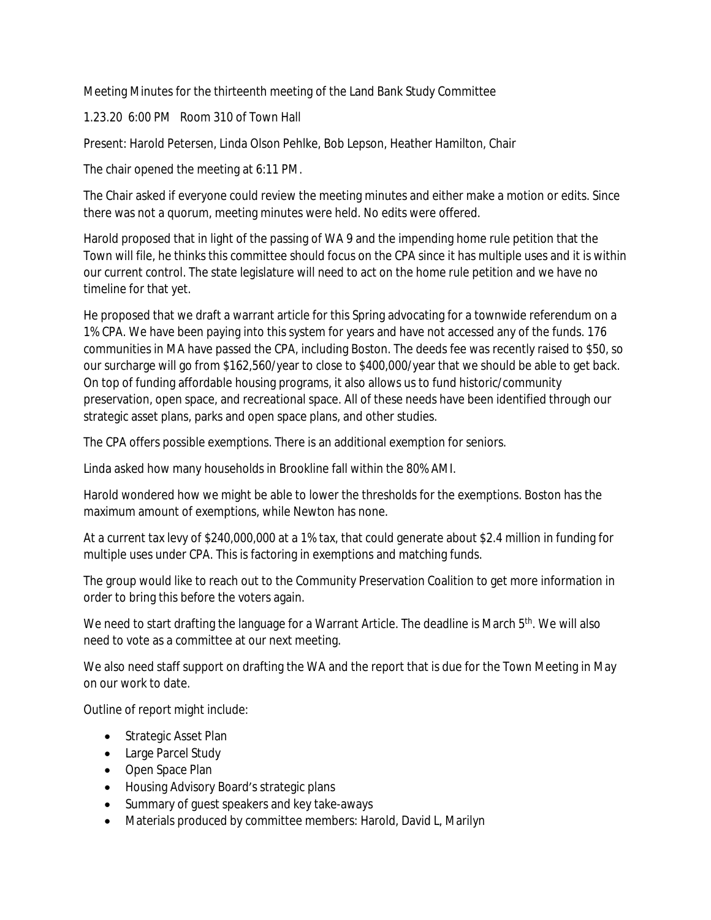Meeting Minutes for the thirteenth meeting of the Land Bank Study Committee

1.23.20 6:00 PM Room 310 of Town Hall

Present: Harold Petersen, Linda Olson Pehlke, Bob Lepson, Heather Hamilton, Chair

The chair opened the meeting at 6:11 PM.

The Chair asked if everyone could review the meeting minutes and either make a motion or edits. Since there was not a quorum, meeting minutes were held. No edits were offered.

Harold proposed that in light of the passing of WA 9 and the impending home rule petition that the Town will file, he thinks this committee should focus on the CPA since it has multiple uses and it is within our current control. The state legislature will need to act on the home rule petition and we have no timeline for that yet.

He proposed that we draft a warrant article for this Spring advocating for a townwide referendum on a 1% CPA. We have been paying into this system for years and have not accessed any of the funds. 176 communities in MA have passed the CPA, including Boston. The deeds fee was recently raised to \$50, so our surcharge will go from \$162,560/year to close to \$400,000/year that we should be able to get back. On top of funding affordable housing programs, it also allows us to fund historic/community preservation, open space, and recreational space. All of these needs have been identified through our strategic asset plans, parks and open space plans, and other studies.

The CPA offers possible exemptions. There is an additional exemption for seniors.

Linda asked how many households in Brookline fall within the 80% AMI.

Harold wondered how we might be able to lower the thresholds for the exemptions. Boston has the maximum amount of exemptions, while Newton has none.

At a current tax levy of \$240,000,000 at a 1% tax, that could generate about \$2.4 million in funding for multiple uses under CPA. This is factoring in exemptions and matching funds.

The group would like to reach out to the Community Preservation Coalition to get more information in order to bring this before the voters again.

We need to start drafting the language for a Warrant Article. The deadline is March 5<sup>th</sup>. We will also need to vote as a committee at our next meeting.

We also need staff support on drafting the WA and the report that is due for the Town Meeting in May on our work to date.

Outline of report might include:

- Strategic Asset Plan
- Large Parcel Study
- Open Space Plan
- Housing Advisory Board's strategic plans
- Summary of guest speakers and key take-aways
- Materials produced by committee members: Harold, David L, Marilyn